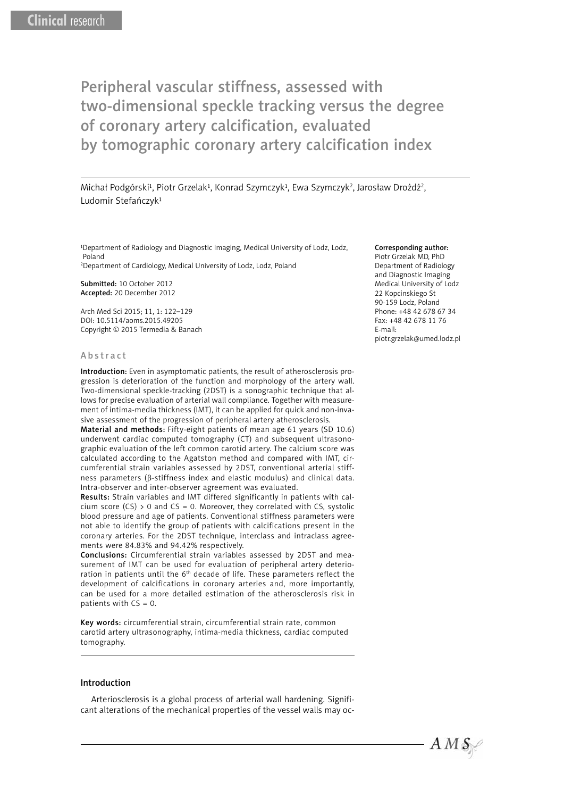Michał Podgórski<sup>1</sup>, Piotr Grzelak<sup>1</sup>, Konrad Szymczyk<sup>1</sup>, Ewa Szymczyk<sup>2</sup>, Jarosław Drożdż<sup>2</sup>, Ludomir Stefańczyk<sup>1</sup>

<sup>1</sup>Department of Radiology and Diagnostic Imaging, Medical University of Lodz, Lodz, Poland

2 Department of Cardiology, Medical University of Lodz, Lodz, Poland

Submitted: 10 October 2012 Accepted: 20 December 2012

Arch Med Sci 2015; 11, 1: 122–129 DOI: 10.5114/aoms.2015.49205 Copyright © 2015 Termedia & Banach

#### Abstract

Introduction: Even in asymptomatic patients, the result of atherosclerosis progression is deterioration of the function and morphology of the artery wall. Two-dimensional speckle-tracking (2DST) is a sonographic technique that allows for precise evaluation of arterial wall compliance. Together with measurement of intima-media thickness (IMT), it can be applied for quick and non-invasive assessment of the progression of peripheral artery atherosclerosis.

Material and methods: Fifty-eight patients of mean age 61 years (SD 10.6) underwent cardiac computed tomography (CT) and subsequent ultrasonographic evaluation of the left common carotid artery. The calcium score was calculated according to the Agatston method and compared with IMT, circumferential strain variables assessed by 2DST, conventional arterial stiffness parameters (β-stiffness index and elastic modulus) and clinical data. Intra-observer and inter-observer agreement was evaluated.

Results: Strain variables and IMT differed significantly in patients with calcium score  $(CS) > 0$  and  $CS = 0$ . Moreover, they correlated with CS, systolic blood pressure and age of patients. Conventional stiffness parameters were not able to identify the group of patients with calcifications present in the coronary arteries. For the 2DST technique, interclass and intraclass agreements were 84.83% and 94.42% respectively.

Conclusions: Circumferential strain variables assessed by 2DST and measurement of IMT can be used for evaluation of peripheral artery deterioration in patients until the 6<sup>th</sup> decade of life. These parameters reflect the development of calcifications in coronary arteries and, more importantly, can be used for a more detailed estimation of the atherosclerosis risk in patients with CS = 0.

Key words: circumferential strain, circumferential strain rate, common carotid artery ultrasonography, intima-media thickness, cardiac computed tomography.

#### Introduction

Arteriosclerosis is a global process of arterial wall hardening. Significant alterations of the mechanical properties of the vessel walls may oc-

#### Corresponding author:

Piotr Grzelak MD, PhD Department of Radiology and Diagnostic Imaging Medical University of Lodz 22 Kopcinskiego St 90-159 Lodz, Poland Phone: +48 42 678 67 34 Fax: +48 42 678 11 76 E-mail: piotr.grzelak@umed.lodz.pl

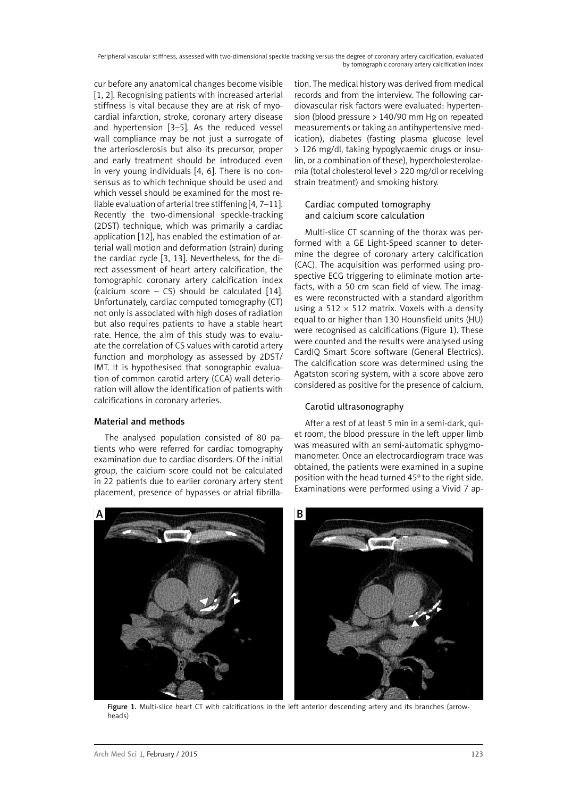cur before any anatomical changes become visible [1, 2]. Recognising patients with increased arterial stiffness is vital because they are at risk of myocardial infarction, stroke, coronary artery disease and hypertension [3–5]. As the reduced vessel wall compliance may be not just a surrogate of the arteriosclerosis but also its precursor, proper and early treatment should be introduced even in very young individuals [4, 6]. There is no consensus as to which technique should be used and which vessel should be examined for the most reliable evaluation of arterial tree stiffening [4, 7–11]. Recently the two-dimensional speckle-tracking (2DST) technique, which was primarily a cardiac application [12], has enabled the estimation of arterial wall motion and deformation (strain) during the cardiac cycle [3, 13]. Nevertheless, for the direct assessment of heart artery calcification, the tomographic coronary artery calcification index (calcium score – CS) should be calculated [14]. Unfortunately, cardiac computed tomography (CT) not only is associated with high doses of radiation but also requires patients to have a stable heart rate. Hence, the aim of this study was to evaluate the correlation of CS values with carotid artery function and morphology as assessed by 2DST/ IMT. It is hypothesised that sonographic evaluation of common carotid artery (CCA) wall deterioration will allow the identification of patients with calcifications in coronary arteries.

# Material and methods

The analysed population consisted of 80 patients who were referred for cardiac tomography examination due to cardiac disorders. Of the initial group, the calcium score could not be calculated in 22 patients due to earlier coronary artery stent placement, presence of bypasses or atrial fibrillation. The medical history was derived from medical records and from the interview. The following cardiovascular risk factors were evaluated: hypertension (blood pressure > 140/90 mm Hg on repeated measurements or taking an antihypertensive medication), diabetes (fasting plasma glucose level > 126 mg/dl, taking hypoglycaemic drugs or insulin, or a combination of these), hypercholesterolaemia (total cholesterol level > 220 mg/dl or receiving strain treatment) and smoking history.

## Cardiac computed tomography and calcium score calculation

Multi-slice CT scanning of the thorax was performed with a GE Light-Speed scanner to determine the degree of coronary artery calcification (CAC). The acquisition was performed using prospective ECG triggering to eliminate motion artefacts, with a 50 cm scan field of view. The images were reconstructed with a standard algorithm using a 512  $\times$  512 matrix. Voxels with a density equal to or higher than 130 Hounsfield units (HU) were recognised as calcifications (Figure 1). These were counted and the results were analysed using CardIQ Smart Score software (General Electrics). The calcification score was determined using the Agatston scoring system, with a score above zero considered as positive for the presence of calcium.

# Carotid ultrasonography

After a rest of at least 5 min in a semi-dark, quiet room, the blood pressure in the left upper limb was measured with an semi-automatic sphygmomanometer. Once an electrocardiogram trace was obtained, the patients were examined in a supine position with the head turned 45º to the right side. Examinations were performed using a Vivid 7 ap-



Figure 1. Multi-slice heart CT with calcifications in the left anterior descending artery and its branches (arrowheads)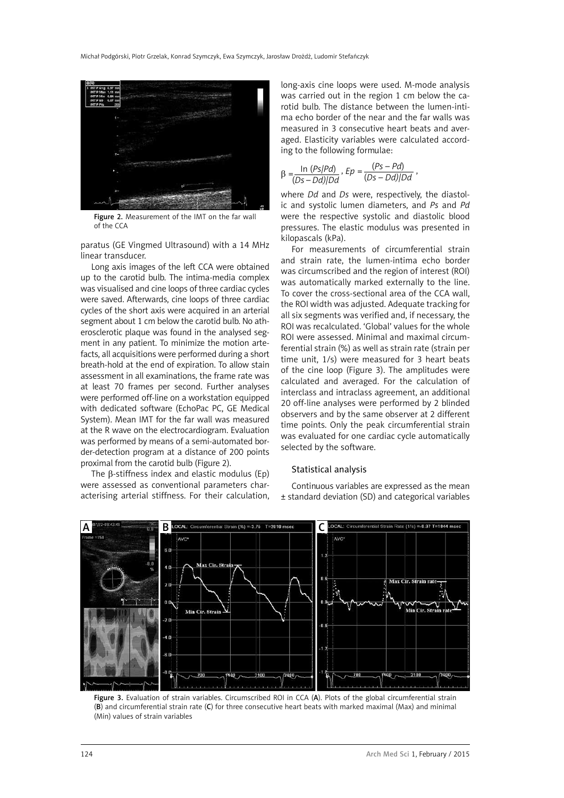

Figure 2. Measurement of the IMT on the far wall of the CCA

paratus (GE Vingmed Ultrasound) with a 14 MHz linear transducer.

Long axis images of the left CCA were obtained up to the carotid bulb. The intima-media complex was visualised and cine loops of three cardiac cycles were saved. Afterwards, cine loops of three cardiac cycles of the short axis were acquired in an arterial segment about 1 cm below the carotid bulb. No atherosclerotic plaque was found in the analysed segment in any patient. To minimize the motion artefacts, all acquisitions were performed during a short breath-hold at the end of expiration. To allow stain assessment in all examinations, the frame rate was at least 70 frames per second. Further analyses were performed off-line on a workstation equipped with dedicated software (EchoPac PC, GE Medical System). Mean IMT for the far wall was measured at the R wave on the electrocardiogram. Evaluation was performed by means of a semi-automated border-detection program at a distance of 200 points proximal from the carotid bulb (Figure 2).

The β-stiffness index and elastic modulus (Ep) were assessed as conventional parameters characterising arterial stiffness. For their calculation,

long-axis cine loops were used. M-mode analysis was carried out in the region 1 cm below the carotid bulb. The distance between the lumen-intima echo border of the near and the far walls was measured in 3 consecutive heart beats and averaged. Elasticity variables were calculated according to the following formulae:

$$
\beta = \frac{\ln (Ps/PA)}{(Ds - Dd)/Dd}, Ep = \frac{(Ps - Pd)}{(Ds - Dd)/Dd},
$$

where *Dd* and *Ds* were, respectively, the diastolic and systolic lumen diameters, and *Ps* and *Pd* were the respective systolic and diastolic blood pressures. The elastic modulus was presented in kilopascals (kPa).

For measurements of circumferential strain and strain rate, the lumen-intima echo border was circumscribed and the region of interest (ROI) was automatically marked externally to the line. To cover the cross-sectional area of the CCA wall, the ROI width was adjusted. Adequate tracking for all six segments was verified and, if necessary, the ROI was recalculated. 'Global' values for the whole ROI were assessed. Minimal and maximal circumferential strain (%) as well as strain rate (strain per time unit, 1/s) were measured for 3 heart beats of the cine loop (Figure 3). The amplitudes were calculated and averaged. For the calculation of interclass and intraclass agreement, an additional 20 off-line analyses were performed by 2 blinded observers and by the same observer at 2 different time points. Only the peak circumferential strain was evaluated for one cardiac cycle automatically selected by the software.

#### Statistical analysis

Continuous variables are expressed as the mean ± standard deviation (SD) and categorical variables



Figure 3. Evaluation of strain variables. Circumscribed ROI in CCA (A). Plots of the global circumferential strain (B) and circumferential strain rate (C) for three consecutive heart beats with marked maximal (Max) and minimal (Min) values of strain variables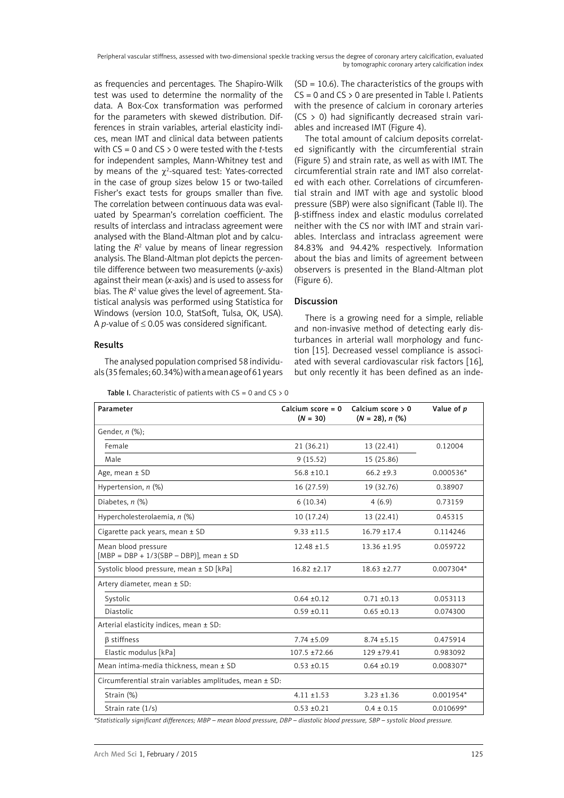as frequencies and percentages. The Shapiro-Wilk test was used to determine the normality of the data. A Box-Cox transformation was performed for the parameters with skewed distribution. Differences in strain variables, arterial elasticity indices, mean IMT and clinical data between patients with CS = 0 and CS > 0 were tested with the *t*-tests for independent samples, Mann-Whitney test and by means of the  $\chi^2$ -squared test: Yates-corrected in the case of group sizes below 15 or two-tailed Fisher's exact tests for groups smaller than five. The correlation between continuous data was evaluated by Spearman's correlation coefficient. The results of interclass and intraclass agreement were analysed with the Bland-Altman plot and by calculating the  $R<sup>2</sup>$  value by means of linear regression analysis. The Bland-Altman plot depicts the percentile difference between two measurements (*y*-axis) against their mean (*x*-axis) and is used to assess for bias. The R<sup>2</sup> value gives the level of agreement. Statistical analysis was performed using Statistica for Windows (version 10.0, StatSoft, Tulsa, OK, USA). A *p*-value of  $\leq$  0.05 was considered significant.

## Results

The analysed population comprised 58 individuals (35 females; 60.34%) with a mean age of 61 years

**Table I.** Characteristic of patients with  $CS = 0$  and  $CS > 0$ 

(SD = 10.6). The characteristics of the groups with  $CS = 0$  and  $CS > 0$  are presented in Table I. Patients with the presence of calcium in coronary arteries  $(CS > 0)$  had significantly decreased strain variables and increased IMT (Figure 4).

The total amount of calcium deposits correlated significantly with the circumferential strain (Figure 5) and strain rate, as well as with IMT. The circumferential strain rate and IMT also correlated with each other. Correlations of circumferential strain and IMT with age and systolic blood pressure (SBP) were also significant (Table II). The β-stiffness index and elastic modulus correlated neither with the CS nor with IMT and strain variables. Interclass and intraclass agreement were 84.83% and 94.42% respectively. Information about the bias and limits of agreement between observers is presented in the Bland-Altman plot (Figure 6).

## Discussion

There is a growing need for a simple, reliable and non-invasive method of detecting early disturbances in arterial wall morphology and function [15]. Decreased vessel compliance is associated with several cardiovascular risk factors [16], but only recently it has been defined as an inde-

| Parameter                                                         | Calcium score = $0$<br>$(N = 30)$ | Calcium score $> 0$<br>$(N = 28), n$ (%) | Value of p  |
|-------------------------------------------------------------------|-----------------------------------|------------------------------------------|-------------|
| Gender, n (%);                                                    |                                   |                                          |             |
| Female                                                            | 21 (36.21)                        | 13 (22.41)                               | 0.12004     |
| Male                                                              | 9(15.52)                          | 15 (25.86)                               |             |
| Age, mean $\pm$ SD                                                | $56.8 + 10.1$                     | $66.2 + 9.3$                             | $0.000536*$ |
| Hypertension, $n$ (%)                                             | 16 (27.59)                        | 19 (32.76)                               | 0.38907     |
| Diabetes, $n$ (%)                                                 | 6(10.34)                          | 4(6.9)                                   | 0.73159     |
| Hypercholesterolaemia, n (%)                                      | 10(17.24)                         | 13 (22.41)                               | 0.45315     |
| Cigarette pack years, mean ± SD                                   | $9.33 + 11.5$                     | $16.79 + 17.4$                           | 0.114246    |
| Mean blood pressure<br>[MBP = DBP + $1/3(SBP - DBP)$ ], mean ± SD | $12.48 \pm 1.5$                   | $13.36 + 1.95$                           | 0.059722    |
| Systolic blood pressure, mean ± SD [kPa]                          | $16.82 \pm 2.17$                  | $18.63 + 2.77$                           | 0.007304*   |
| Artery diameter, mean ± SD:                                       |                                   |                                          |             |
| Systolic                                                          | $0.64 \pm 0.12$                   | $0.71 \pm 0.13$                          | 0.053113    |
| <b>Diastolic</b>                                                  | $0.59 + 0.11$                     | $0.65 \pm 0.13$                          | 0.074300    |
| Arterial elasticity indices, mean ± SD:                           |                                   |                                          |             |
| <b>B</b> stiffness                                                | $7.74 \pm 5.09$                   | $8.74 \pm 5.15$                          | 0.475914    |
| Elastic modulus [kPa]                                             | $107.5 \pm 72.66$                 | 129 ±79.41                               | 0.983092    |
| Mean intima-media thickness, mean ± SD                            | $0.53 \pm 0.15$                   | $0.64 \pm 0.19$                          | 0.008307*   |
| Circumferential strain variables amplitudes, mean ± SD:           |                                   |                                          |             |
| Strain (%)                                                        | $4.11 \pm 1.53$                   | $3.23 \pm 1.36$                          | $0.001954*$ |
| Strain rate (1/s)                                                 | $0.53 + 0.21$                     | $0.4 \pm 0.15$                           | $0.010699*$ |

*\*Statistically significant differences; MBP – mean blood pressure, DBP – diastolic blood pressure, SBP – systolic blood pressure.*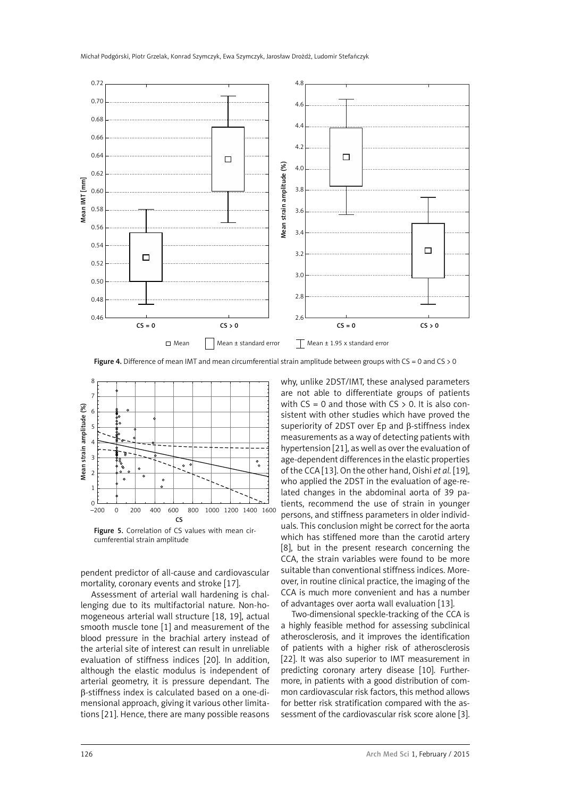

Figure 4. Difference of mean IMT and mean circumferential strain amplitude between groups with CS = 0 and CS > 0



cumferential strain amplitude

pendent predictor of all-cause and cardiovascular mortality, coronary events and stroke [17].

Assessment of arterial wall hardening is challenging due to its multifactorial nature. Non-homogeneous arterial wall structure [18, 19], actual smooth muscle tone [1] and measurement of the blood pressure in the brachial artery instead of the arterial site of interest can result in unreliable evaluation of stiffness indices [20]. In addition, although the elastic modulus is independent of arterial geometry, it is pressure dependant. The β-stiffness index is calculated based on a one-dimensional approach, giving it various other limitations [21]. Hence, there are many possible reasons why, unlike 2DST/IMT, these analysed parameters are not able to differentiate groups of patients with  $CS = 0$  and those with  $CS > 0$ . It is also consistent with other studies which have proved the superiority of 2DST over Ep and β-stiffness index measurements as a way of detecting patients with hypertension [21], as well as over the evaluation of age-dependent differences in the elastic properties of the CCA [13]. On the other hand, Oishi *et al.* [19], who applied the 2DST in the evaluation of age-related changes in the abdominal aorta of 39 patients, recommend the use of strain in younger persons, and stiffness parameters in older individuals. This conclusion might be correct for the aorta which has stiffened more than the carotid artery [8], but in the present research concerning the CCA, the strain variables were found to be more suitable than conventional stiffness indices. Moreover, in routine clinical practice, the imaging of the CCA is much more convenient and has a number of advantages over aorta wall evaluation [13].

Two-dimensional speckle-tracking of the CCA is a highly feasible method for assessing subclinical atherosclerosis, and it improves the identification of patients with a higher risk of atherosclerosis [22]. It was also superior to IMT measurement in predicting coronary artery disease [10]. Furthermore, in patients with a good distribution of common cardiovascular risk factors, this method allows for better risk stratification compared with the assessment of the cardiovascular risk score alone [3].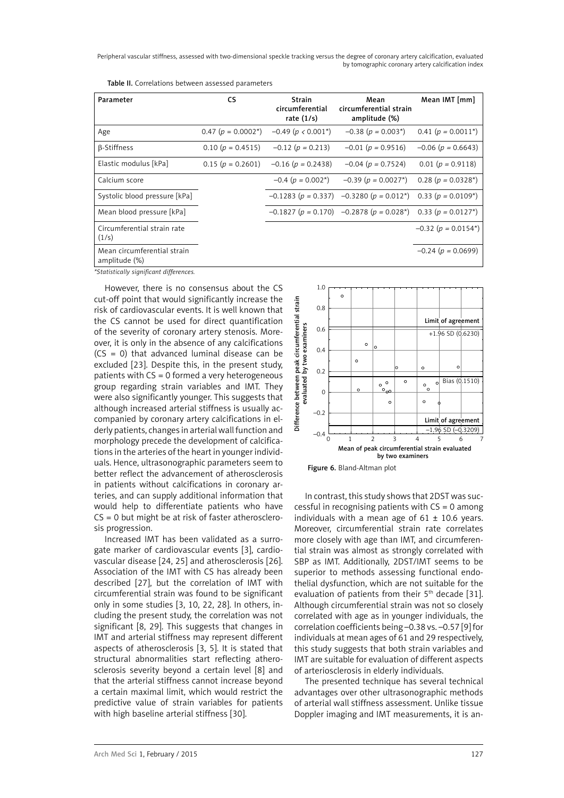| Parameter                                    | <b>CS</b>                 | Strain<br>circumferential<br>rate $(1/s)$ | Mean<br>circumferential strain<br>amplitude (%)                  | Mean IMT [mm]              |
|----------------------------------------------|---------------------------|-------------------------------------------|------------------------------------------------------------------|----------------------------|
| Age                                          | $0.47$ ( $p = 0.0002^*$ ) | $-0.49$ (p < 0.001 <sup>*</sup> )         | $-0.38$ ( $p = 0.003$ <sup>*</sup> )                             | $0.41 (p = 0.0011^*)$      |
| $\beta$ -Stiffness                           | $0.10(p = 0.4515)$        | $-0.12$ ( $p = 0.213$ )                   | $-0.01$ ( $p = 0.9516$ )                                         | $-0.06$ ( $p = 0.6643$ )   |
| Elastic modulus [kPa]                        | $0.15(p = 0.2601)$        | $-0.16$ ( $p = 0.2438$ )                  | $-0.04$ ( $p = 0.7524$ )                                         | $0.01(p = 0.9118)$         |
| Calcium score                                |                           | $-0.4$ ( $p = 0.002^*$ )                  | $-0.39$ ( $p = 0.0027$ *)                                        | $0.28(p = 0.0328*)$        |
| Systolic blood pressure [kPa]                |                           |                                           | $-0.1283$ (p = 0.337) $-0.3280$ (p = 0.012 <sup>*</sup> )        | $0.33(p = 0.0109^*)$       |
| Mean blood pressure [kPa]                    |                           |                                           | $-0.1827$ ( $p = 0.170$ ) $-0.2878$ ( $p = 0.028$ <sup>*</sup> ) | $0.33(p = 0.0127^*)$       |
| Circumferential strain rate<br>(1/s)         |                           |                                           |                                                                  | $-0.32$ ( $p = 0.0154^*$ ) |
| Mean circumferential strain<br>amplitude (%) |                           |                                           |                                                                  | $-0.24$ ( $p = 0.0699$ )   |

Table II. Correlations between assessed parameters

*\*Statistically significant differences.*

However, there is no consensus about the CS cut-off point that would significantly increase the risk of cardiovascular events. It is well known that the CS cannot be used for direct quantification of the severity of coronary artery stenosis. Moreover, it is only in the absence of any calcifications (CS = 0) that advanced luminal disease can be excluded [23]. Despite this, in the present study, patients with CS = 0 formed a very heterogeneous group regarding strain variables and IMT. They were also significantly younger. This suggests that although increased arterial stiffness is usually accompanied by coronary artery calcifications in elderly patients, changes in arterial wall function and morphology precede the development of calcifications in the arteries of the heart in younger individuals. Hence, ultrasonographic parameters seem to better reflect the advancement of atherosclerosis in patients without calcifications in coronary arteries, and can supply additional information that would help to differentiate patients who have  $CS = 0$  but might be at risk of faster atherosclerosis progression.

Increased IMT has been validated as a surrogate marker of cardiovascular events [3], cardiovascular disease [24, 25] and atherosclerosis [26]. Association of the IMT with CS has already been described [27], but the correlation of IMT with circumferential strain was found to be significant only in some studies [3, 10, 22, 28]. In others, including the present study, the correlation was not significant [8, 29]. This suggests that changes in IMT and arterial stiffness may represent different aspects of atherosclerosis [3, 5]. It is stated that structural abnormalities start reflecting atherosclerosis severity beyond a certain level [8] and that the arterial stiffness cannot increase beyond a certain maximal limit, which would restrict the predictive value of strain variables for patients with high baseline arterial stiffness [30].





In contrast, this study shows that 2DST was successful in recognising patients with CS = 0 among individuals with a mean age of  $61 \pm 10.6$  years. Moreover, circumferential strain rate correlates more closely with age than IMT, and circumferential strain was almost as strongly correlated with SBP as IMT. Additionally, 2DST/IMT seems to be superior to methods assessing functional endothelial dysfunction, which are not suitable for the evaluation of patients from their 5<sup>th</sup> decade [31]. Although circumferential strain was not so closely correlated with age as in younger individuals, the correlation coefficients being –0.38 vs. –0.57 [9] for individuals at mean ages of 61 and 29 respectively, this study suggests that both strain variables and IMT are suitable for evaluation of different aspects of arteriosclerosis in elderly individuals.

The presented technique has several technical advantages over other ultrasonographic methods of arterial wall stiffness assessment. Unlike tissue Doppler imaging and IMT measurements, it is an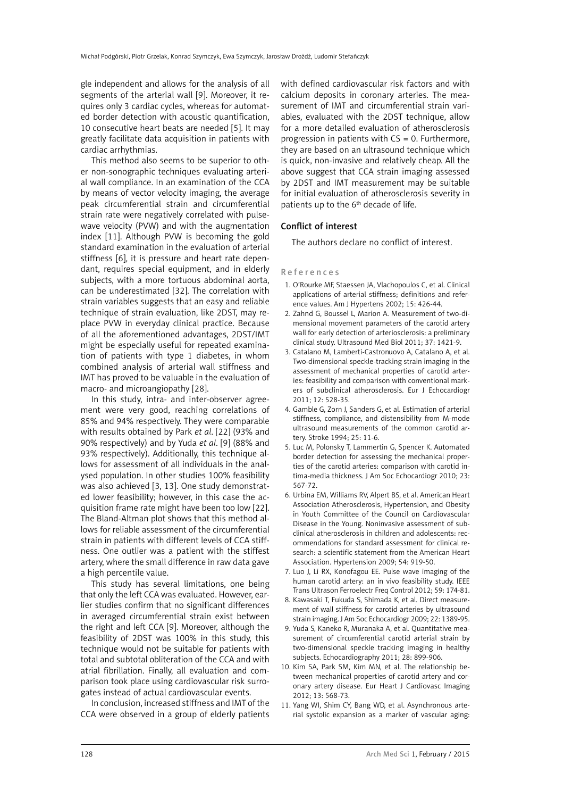gle independent and allows for the analysis of all segments of the arterial wall [9]. Moreover, it requires only 3 cardiac cycles, whereas for automated border detection with acoustic quantification, 10 consecutive heart beats are needed [5]. It may greatly facilitate data acquisition in patients with cardiac arrhythmias.

This method also seems to be superior to other non-sonographic techniques evaluating arterial wall compliance. In an examination of the CCA by means of vector velocity imaging, the average peak circumferential strain and circumferential strain rate were negatively correlated with pulsewave velocity (PVW) and with the augmentation index [11]. Although PVW is becoming the gold standard examination in the evaluation of arterial stiffness [6], it is pressure and heart rate dependant, requires special equipment, and in elderly subjects, with a more tortuous abdominal aorta, can be underestimated [32]. The correlation with strain variables suggests that an easy and reliable technique of strain evaluation, like 2DST, may replace PVW in everyday clinical practice. Because of all the aforementioned advantages, 2DST/IMT might be especially useful for repeated examination of patients with type 1 diabetes, in whom combined analysis of arterial wall stiffness and IMT has proved to be valuable in the evaluation of macro- and microangiopathy [28].

In this study, intra- and inter-observer agreement were very good, reaching correlations of 85% and 94% respectively. They were comparable with results obtained by Park *et al*. [22] (93% and 90% respectively) and by Yuda *et al*. [9] (88% and 93% respectively). Additionally, this technique allows for assessment of all individuals in the analysed population. In other studies 100% feasibility was also achieved [3, 13]. One study demonstrated lower feasibility; however, in this case the acquisition frame rate might have been too low [22]. The Bland-Altman plot shows that this method allows for reliable assessment of the circumferential strain in patients with different levels of CCA stiffness. One outlier was a patient with the stiffest artery, where the small difference in raw data gave a high percentile value.

This study has several limitations, one being that only the left CCA was evaluated. However, earlier studies confirm that no significant differences in averaged circumferential strain exist between the right and left CCA [9]. Moreover, although the feasibility of 2DST was 100% in this study, this technique would not be suitable for patients with total and subtotal obliteration of the CCA and with atrial fibrillation. Finally, all evaluation and comparison took place using cardiovascular risk surrogates instead of actual cardiovascular events.

In conclusion, increased stiffness and IMT of the CCA were observed in a group of elderly patients with defined cardiovascular risk factors and with calcium deposits in coronary arteries. The measurement of IMT and circumferential strain variables, evaluated with the 2DST technique, allow for a more detailed evaluation of atherosclerosis progression in patients with  $CS = 0$ . Furthermore, they are based on an ultrasound technique which is quick, non-invasive and relatively cheap. All the above suggest that CCA strain imaging assessed by 2DST and IMT measurement may be suitable for initial evaluation of atherosclerosis severity in patients up to the 6th decade of life.

## Conflict of interest

The authors declare no conflict of interest.

### References

- 1. O'Rourke MF, Staessen JA, Vlachopoulos C, et al. Clinical applications of arterial stiffness; definitions and reference values. Am J Hypertens 2002; 15: 426-44.
- 2. Zahnd G, Boussel L, Marion A. Measurement of two-dimensional movement parameters of the carotid artery wall for early detection of arteriosclerosis: a preliminary clinical study. Ultrasound Med Biol 2011; 37: 1421-9.
- 3. Catalano M, Lamberti-Castronuovo A, Catalano A, et al. Two-dimensional speckle-tracking strain imaging in the assessment of mechanical properties of carotid arteries: feasibility and comparison with conventional markers of subclinical atherosclerosis. Eur J Echocardiogr 2011; 12: 528-35.
- 4. Gamble G, Zorn J, Sanders G, et al. Estimation of arterial stiffness, compliance, and distensibility from M-mode ultrasound measurements of the common carotid artery. Stroke 1994; 25: 11-6.
- 5. Luc M, Polonsky T, Lammertin G, Spencer K. Automated border detection for assessing the mechanical properties of the carotid arteries: comparison with carotid intima-media thickness. J Am Soc Echocardiogr 2010; 23: 567-72.
- 6. Urbina EM, Williams RV, Alpert BS, et al. American Heart Association Atherosclerosis, Hypertension, and Obesity in Youth Committee of the Council on Cardiovascular Disease in the Young. Noninvasive assessment of subclinical atherosclerosis in children and adolescents: recommendations for standard assessment for clinical research: a scientific statement from the American Heart Association. Hypertension 2009; 54: 919-50.
- 7. Luo J, Li RX, Konofagou EE. Pulse wave imaging of the human carotid artery: an in vivo feasibility study. IEEE Trans Ultrason Ferroelectr Freq Control 2012; 59: 174-81.
- 8. Kawasaki T, Fukuda S, Shimada K, et al. Direct measurement of wall stiffness for carotid arteries by ultrasound strain imaging. J Am Soc Echocardiogr 2009; 22: 1389-95.
- 9. Yuda S, Kaneko R, Muranaka A, et al. Quantitative measurement of circumferential carotid arterial strain by two-dimensional speckle tracking imaging in healthy subjects. Echocardiography 2011; 28: 899-906.
- 10. Kim SA, Park SM, Kim MN, et al. The relationship between mechanical properties of carotid artery and coronary artery disease. Eur Heart J Cardiovasc Imaging 2012; 13: 568-73.
- 11. Yang WI, Shim CY, Bang WD, et al. Asynchronous arterial systolic expansion as a marker of vascular aging: